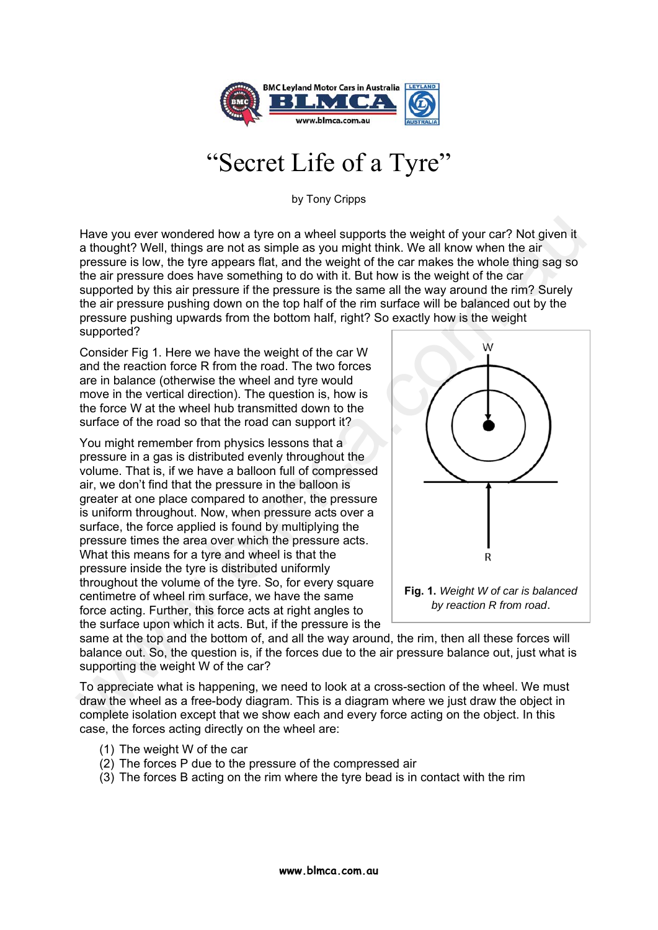

## "Secret Life of a Tyre"

by Tony Cripps

Have you ever wondered how a tyre on a wheel supports the weight of your car? Not given it a thought? Well, things are not as simple as you might think. We all know when the air pressure is low, the tyre appears flat, and the weight of the car makes the whole thing sag so the air pressure does have something to do with it. But how is the weight of the car supported by this air pressure if the pressure is the same all the way around the rim? Surely the air pressure pushing down on the top half of the rim surface will be balanced out by the pressure pushing upwards from the bottom half, right? So exactly how is the weight supported?

Consider Fig 1. Here we have the weight of the car W and the reaction force R from the road. The two forces are in balance (otherwise the wheel and tyre would move in the vertical direction). The question is, how is the force W at the wheel hub transmitted down to the surface of the road so that the road can support it?

You might remember from physics lessons that a pressure in a gas is distributed evenly throughout the volume. That is, if we have a balloon full of compressed air, we don't find that the pressure in the balloon is greater at one place compared to another, the pressure is uniform throughout. Now, when pressure acts over a surface, the force applied is found by multiplying the pressure times the area over which the pressure acts. What this means for a tyre and wheel is that the pressure inside the tyre is distributed uniformly throughout the volume of the tyre. So, for every square centimetre of wheel rim surface, we have the same force acting. Further, this force acts at right angles to the surface upon which it acts. But, if the pressure is the Have you ever wondered how a tyre on a wheel supports the weight of your car? Not given it a though? Well, things are not as simple as you might think. We all know when the air and simple as you might think. We all know wh



same at the top and the bottom of, and all the way around, the rim, then all these forces will balance out. So, the question is, if the forces due to the air pressure balance out, just what is supporting the weight W of the car?

To appreciate what is happening, we need to look at a cross-section of the wheel. We must draw the wheel as a free-body diagram. This is a diagram where we just draw the object in complete isolation except that we show each and every force acting on the object. In this case, the forces acting directly on the wheel are:

- (1) The weight W of the car
- (2) The forces P due to the pressure of the compressed air
- (3) The forces B acting on the rim where the tyre bead is in contact with the rim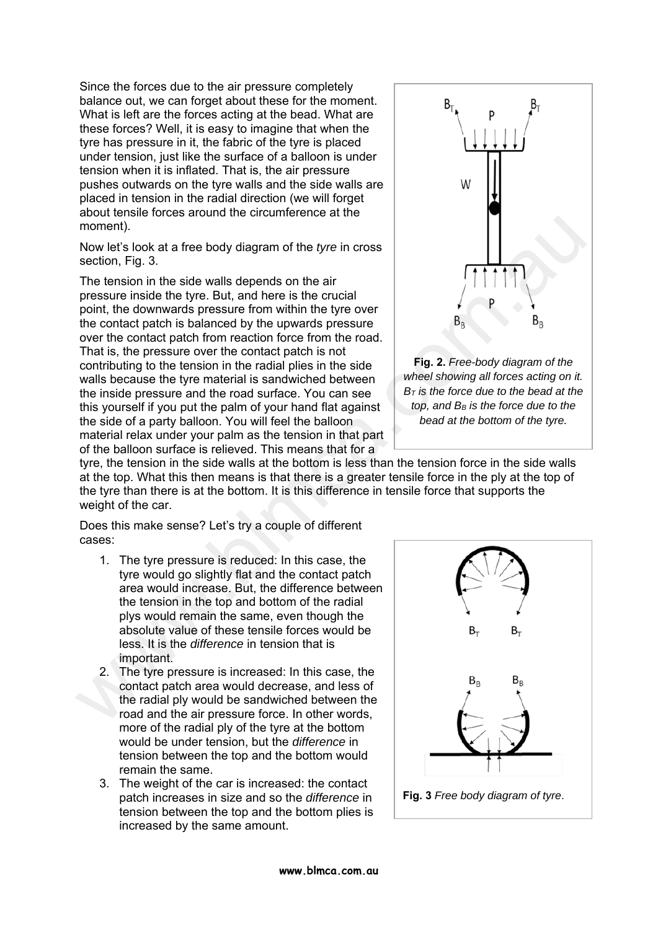Since the forces due to the air pressure completely balance out, we can forget about these for the moment. What is left are the forces acting at the bead. What are these forces? Well, it is easy to imagine that when the tyre has pressure in it, the fabric of the tyre is placed under tension, just like the surface of a balloon is under tension when it is inflated. That is, the air pressure pushes outwards on the tyre walls and the side walls are placed in tension in the radial direction (we will forget about tensile forces around the circumference at the moment).

Now let's look at a free body diagram of the *tyre* in cross section, Fig. 3.

The tension in the side walls depends on the air pressure inside the tyre. But, and here is the crucial point, the downwards pressure from within the tyre over the contact patch is balanced by the upwards pressure over the contact patch from reaction force from the road. That is, the pressure over the contact patch is not contributing to the tension in the radial plies in the side walls because the tyre material is sandwiched between the inside pressure and the road surface. You can see this yourself if you put the palm of your hand flat against the side of a party balloon. You will feel the balloon material relax under your palm as the tension in that part of the balloon surface is relieved. This means that for a moment).<br>
We lets look at a free body diagram of the *tyre* in cross<br>
Section, Fig. 3.<br>
The tension in the side walls depends on the air<br>
pressure from the in the side was depends on the air<br>
point, the downwards pressure





tyre, the tension in the side walls at the bottom is less than the tension force in the side walls at the top. What this then means is that there is a greater tensile force in the ply at the top of the tyre than there is at the bottom. It is this difference in tensile force that supports the weight of the car.

Does this make sense? Let's try a couple of different cases:

- 1. The tyre pressure is reduced: In this case, the tyre would go slightly flat and the contact patch area would increase. But, the difference between the tension in the top and bottom of the radial plys would remain the same, even though the absolute value of these tensile forces would be less. It is the *difference* in tension that is important.
- 2. The tyre pressure is increased: In this case, the contact patch area would decrease, and less of the radial ply would be sandwiched between the road and the air pressure force. In other words, more of the radial ply of the tyre at the bottom would be under tension, but the *difference* in tension between the top and the bottom would remain the same.
- 3. The weight of the car is increased: the contact patch increases in size and so the *difference* in tension between the top and the bottom plies is increased by the same amount.